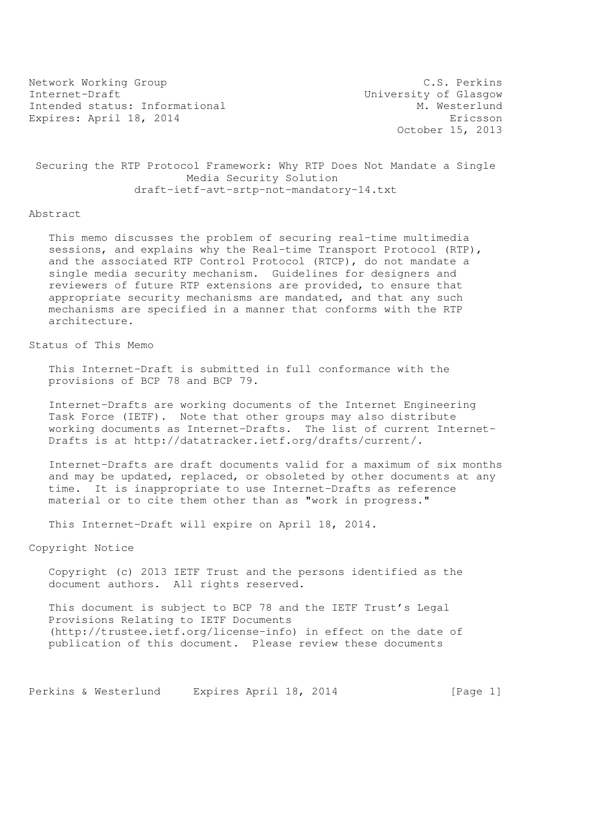Network Working Group C.S. Perkins Internet-Draft University of Glasgow Intended status: Informational Expires: April 18, 2014 **Expires: April 18, 2014** 

October 15, 2013

 Securing the RTP Protocol Framework: Why RTP Does Not Mandate a Single Media Security Solution draft-ietf-avt-srtp-not-mandatory-14.txt

### Abstract

 This memo discusses the problem of securing real-time multimedia sessions, and explains why the Real-time Transport Protocol (RTP), and the associated RTP Control Protocol (RTCP), do not mandate a single media security mechanism. Guidelines for designers and reviewers of future RTP extensions are provided, to ensure that appropriate security mechanisms are mandated, and that any such mechanisms are specified in a manner that conforms with the RTP architecture.

# Status of This Memo

 This Internet-Draft is submitted in full conformance with the provisions of BCP 78 and BCP 79.

 Internet-Drafts are working documents of the Internet Engineering Task Force (IETF). Note that other groups may also distribute working documents as Internet-Drafts. The list of current Internet- Drafts is at http://datatracker.ietf.org/drafts/current/.

 Internet-Drafts are draft documents valid for a maximum of six months and may be updated, replaced, or obsoleted by other documents at any time. It is inappropriate to use Internet-Drafts as reference material or to cite them other than as "work in progress."

This Internet-Draft will expire on April 18, 2014.

Copyright Notice

 Copyright (c) 2013 IETF Trust and the persons identified as the document authors. All rights reserved.

 This document is subject to BCP 78 and the IETF Trust's Legal Provisions Relating to IETF Documents (http://trustee.ietf.org/license-info) in effect on the date of publication of this document. Please review these documents

Perkins & Westerlund Expires April 18, 2014 [Page 1]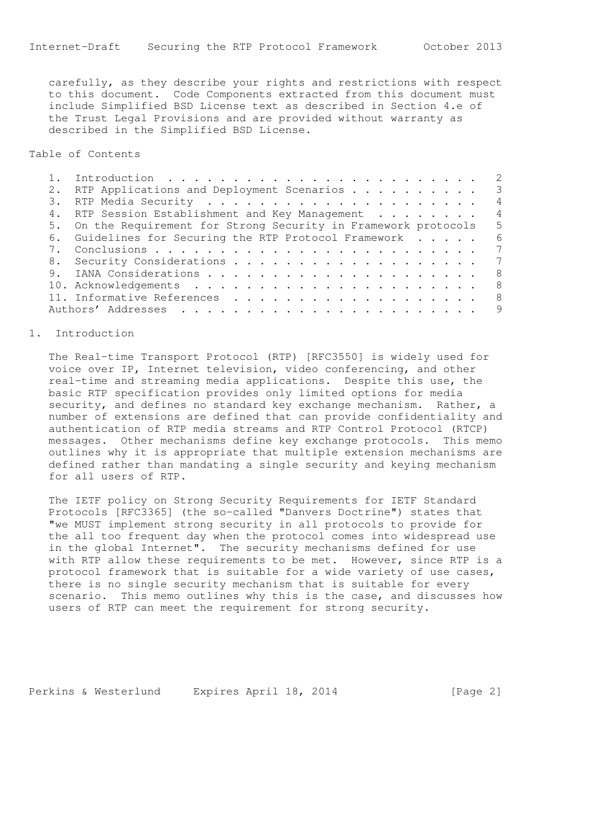carefully, as they describe your rights and restrictions with respect to this document. Code Components extracted from this document must include Simplified BSD License text as described in Section 4.e of the Trust Legal Provisions and are provided without warranty as described in the Simplified BSD License.

## Table of Contents

| $2$ . | RTP Applications and Deployment Scenarios<br>$\overline{\phantom{a}}$ 3 |
|-------|-------------------------------------------------------------------------|
|       |                                                                         |
|       | 4. RTP Session Establishment and Key Management                         |
|       | 5. On the Requirement for Strong Security in Framework protocols        |
|       | 6. Guidelines for Securing the RTP Protocol Framework                   |
|       |                                                                         |
|       |                                                                         |
| 9.    | - 8                                                                     |
|       |                                                                         |
|       | - 8                                                                     |
|       |                                                                         |

### 1. Introduction

 The Real-time Transport Protocol (RTP) [RFC3550] is widely used for voice over IP, Internet television, video conferencing, and other real-time and streaming media applications. Despite this use, the basic RTP specification provides only limited options for media security, and defines no standard key exchange mechanism. Rather, a number of extensions are defined that can provide confidentiality and authentication of RTP media streams and RTP Control Protocol (RTCP) messages. Other mechanisms define key exchange protocols. This memo outlines why it is appropriate that multiple extension mechanisms are defined rather than mandating a single security and keying mechanism for all users of RTP.

 The IETF policy on Strong Security Requirements for IETF Standard Protocols [RFC3365] (the so-called "Danvers Doctrine") states that "we MUST implement strong security in all protocols to provide for the all too frequent day when the protocol comes into widespread use in the global Internet". The security mechanisms defined for use with RTP allow these requirements to be met. However, since RTP is a protocol framework that is suitable for a wide variety of use cases, there is no single security mechanism that is suitable for every scenario. This memo outlines why this is the case, and discusses how users of RTP can meet the requirement for strong security.

Perkins & Westerlund Expires April 18, 2014 [Page 2]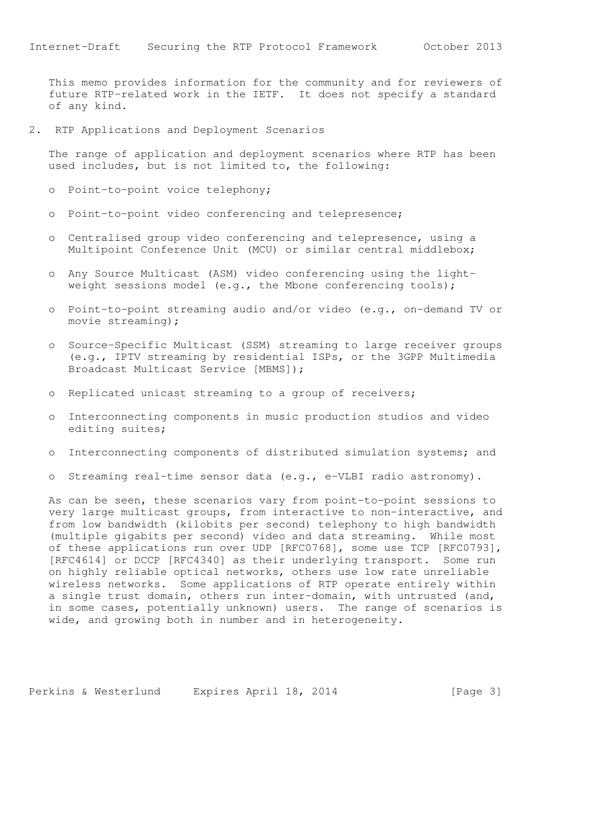This memo provides information for the community and for reviewers of future RTP-related work in the IETF. It does not specify a standard of any kind.

2. RTP Applications and Deployment Scenarios

 The range of application and deployment scenarios where RTP has been used includes, but is not limited to, the following:

- o Point-to-point voice telephony;
- o Point-to-point video conferencing and telepresence;
- o Centralised group video conferencing and telepresence, using a Multipoint Conference Unit (MCU) or similar central middlebox;
- o Any Source Multicast (ASM) video conferencing using the light weight sessions model (e.g., the Mbone conferencing tools);
- o Point-to-point streaming audio and/or video (e.g., on-demand TV or movie streaming);
- o Source-Specific Multicast (SSM) streaming to large receiver groups (e.g., IPTV streaming by residential ISPs, or the 3GPP Multimedia Broadcast Multicast Service [MBMS]);
- o Replicated unicast streaming to a group of receivers;
- o Interconnecting components in music production studios and video editing suites;
- o Interconnecting components of distributed simulation systems; and
- o Streaming real-time sensor data (e.g., e-VLBI radio astronomy).

 As can be seen, these scenarios vary from point-to-point sessions to very large multicast groups, from interactive to non-interactive, and from low bandwidth (kilobits per second) telephony to high bandwidth (multiple gigabits per second) video and data streaming. While most of these applications run over UDP [RFC0768], some use TCP [RFC0793], [RFC4614] or DCCP [RFC4340] as their underlying transport. Some run on highly reliable optical networks, others use low rate unreliable wireless networks. Some applications of RTP operate entirely within a single trust domain, others run inter-domain, with untrusted (and, in some cases, potentially unknown) users. The range of scenarios is wide, and growing both in number and in heterogeneity.

Perkins & Westerlund Expires April 18, 2014 [Page 3]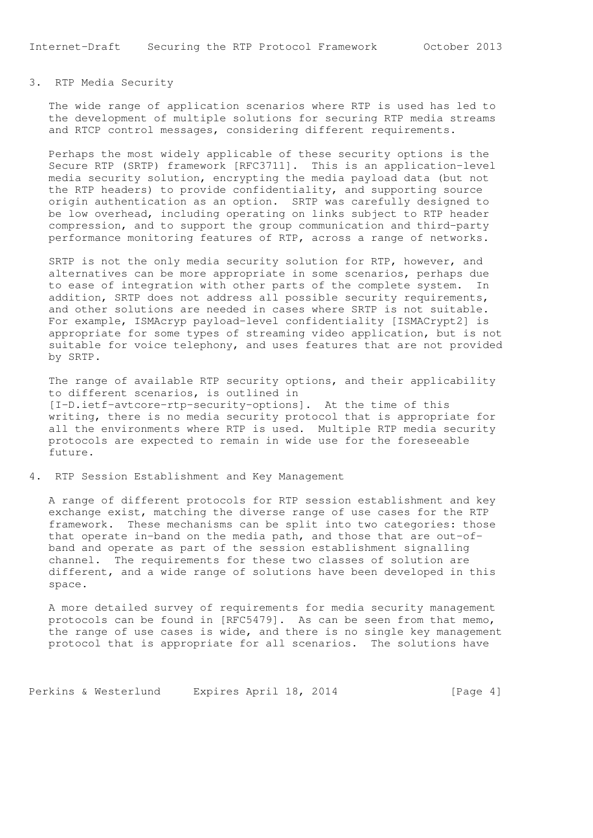# 3. RTP Media Security

 The wide range of application scenarios where RTP is used has led to the development of multiple solutions for securing RTP media streams and RTCP control messages, considering different requirements.

 Perhaps the most widely applicable of these security options is the Secure RTP (SRTP) framework [RFC3711]. This is an application-level media security solution, encrypting the media payload data (but not the RTP headers) to provide confidentiality, and supporting source origin authentication as an option. SRTP was carefully designed to be low overhead, including operating on links subject to RTP header compression, and to support the group communication and third-party performance monitoring features of RTP, across a range of networks.

 SRTP is not the only media security solution for RTP, however, and alternatives can be more appropriate in some scenarios, perhaps due to ease of integration with other parts of the complete system. In addition, SRTP does not address all possible security requirements, and other solutions are needed in cases where SRTP is not suitable. For example, ISMAcryp payload-level confidentiality [ISMACrypt2] is appropriate for some types of streaming video application, but is not suitable for voice telephony, and uses features that are not provided by SRTP.

 The range of available RTP security options, and their applicability to different scenarios, is outlined in [I-D.ietf-avtcore-rtp-security-options]. At the time of this writing, there is no media security protocol that is appropriate for all the environments where RTP is used. Multiple RTP media security protocols are expected to remain in wide use for the foreseeable future.

4. RTP Session Establishment and Key Management

 A range of different protocols for RTP session establishment and key exchange exist, matching the diverse range of use cases for the RTP framework. These mechanisms can be split into two categories: those that operate in-band on the media path, and those that are out-of band and operate as part of the session establishment signalling channel. The requirements for these two classes of solution are different, and a wide range of solutions have been developed in this space.

 A more detailed survey of requirements for media security management protocols can be found in [RFC5479]. As can be seen from that memo, the range of use cases is wide, and there is no single key management protocol that is appropriate for all scenarios. The solutions have

Perkins & Westerlund Expires April 18, 2014 [Page 4]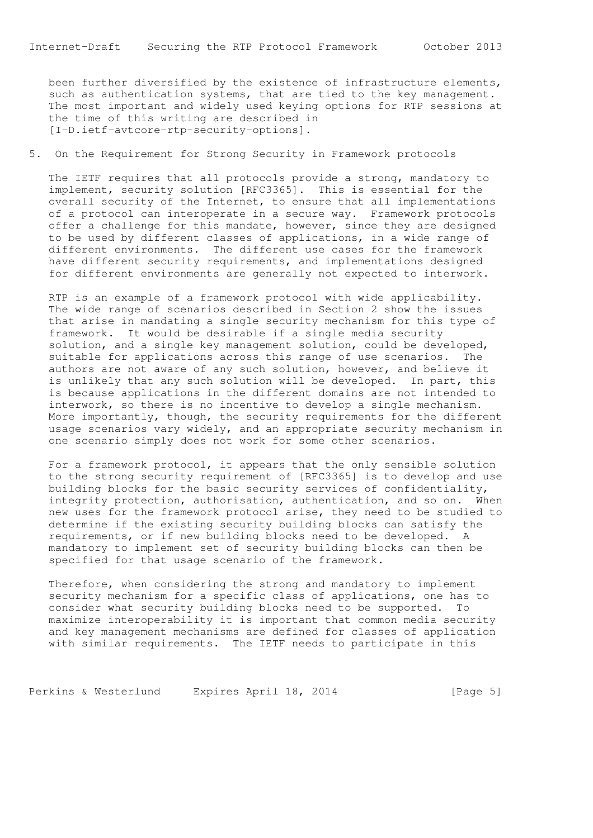been further diversified by the existence of infrastructure elements, such as authentication systems, that are tied to the key management. The most important and widely used keying options for RTP sessions at the time of this writing are described in [I-D.ietf-avtcore-rtp-security-options].

## 5. On the Requirement for Strong Security in Framework protocols

 The IETF requires that all protocols provide a strong, mandatory to implement, security solution [RFC3365]. This is essential for the overall security of the Internet, to ensure that all implementations of a protocol can interoperate in a secure way. Framework protocols offer a challenge for this mandate, however, since they are designed to be used by different classes of applications, in a wide range of different environments. The different use cases for the framework have different security requirements, and implementations designed for different environments are generally not expected to interwork.

 RTP is an example of a framework protocol with wide applicability. The wide range of scenarios described in Section 2 show the issues that arise in mandating a single security mechanism for this type of framework. It would be desirable if a single media security solution, and a single key management solution, could be developed, suitable for applications across this range of use scenarios. The authors are not aware of any such solution, however, and believe it is unlikely that any such solution will be developed. In part, this is because applications in the different domains are not intended to interwork, so there is no incentive to develop a single mechanism. More importantly, though, the security requirements for the different usage scenarios vary widely, and an appropriate security mechanism in one scenario simply does not work for some other scenarios.

 For a framework protocol, it appears that the only sensible solution to the strong security requirement of [RFC3365] is to develop and use building blocks for the basic security services of confidentiality, integrity protection, authorisation, authentication, and so on. When new uses for the framework protocol arise, they need to be studied to determine if the existing security building blocks can satisfy the requirements, or if new building blocks need to be developed. A mandatory to implement set of security building blocks can then be specified for that usage scenario of the framework.

 Therefore, when considering the strong and mandatory to implement security mechanism for a specific class of applications, one has to consider what security building blocks need to be supported. To maximize interoperability it is important that common media security and key management mechanisms are defined for classes of application with similar requirements. The IETF needs to participate in this

Perkins & Westerlund Expires April 18, 2014 [Page 5]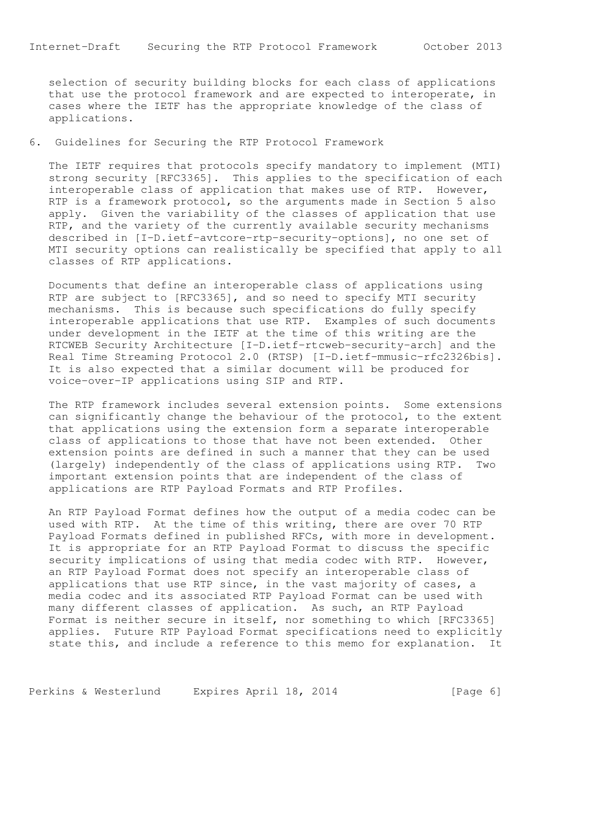selection of security building blocks for each class of applications that use the protocol framework and are expected to interoperate, in cases where the IETF has the appropriate knowledge of the class of applications.

### 6. Guidelines for Securing the RTP Protocol Framework

 The IETF requires that protocols specify mandatory to implement (MTI) strong security [RFC3365]. This applies to the specification of each interoperable class of application that makes use of RTP. However, RTP is a framework protocol, so the arguments made in Section 5 also apply. Given the variability of the classes of application that use RTP, and the variety of the currently available security mechanisms described in [I-D.ietf-avtcore-rtp-security-options], no one set of MTI security options can realistically be specified that apply to all classes of RTP applications.

 Documents that define an interoperable class of applications using RTP are subject to [RFC3365], and so need to specify MTI security mechanisms. This is because such specifications do fully specify interoperable applications that use RTP. Examples of such documents under development in the IETF at the time of this writing are the RTCWEB Security Architecture [I-D.ietf-rtcweb-security-arch] and the Real Time Streaming Protocol 2.0 (RTSP) [I-D.ietf-mmusic-rfc2326bis]. It is also expected that a similar document will be produced for voice-over-IP applications using SIP and RTP.

 The RTP framework includes several extension points. Some extensions can significantly change the behaviour of the protocol, to the extent that applications using the extension form a separate interoperable class of applications to those that have not been extended. Other extension points are defined in such a manner that they can be used<br>(largely) independently of the class of applications using RTP. Two (largely) independently of the class of applications using RTP. important extension points that are independent of the class of applications are RTP Payload Formats and RTP Profiles.

 An RTP Payload Format defines how the output of a media codec can be used with RTP. At the time of this writing, there are over 70 RTP Payload Formats defined in published RFCs, with more in development. It is appropriate for an RTP Payload Format to discuss the specific security implications of using that media codec with RTP. However, an RTP Payload Format does not specify an interoperable class of applications that use RTP since, in the vast majority of cases, a media codec and its associated RTP Payload Format can be used with many different classes of application. As such, an RTP Payload Format is neither secure in itself, nor something to which [RFC3365] applies. Future RTP Payload Format specifications need to explicitly state this, and include a reference to this memo for explanation. It

Perkins & Westerlund Expires April 18, 2014 [Page 6]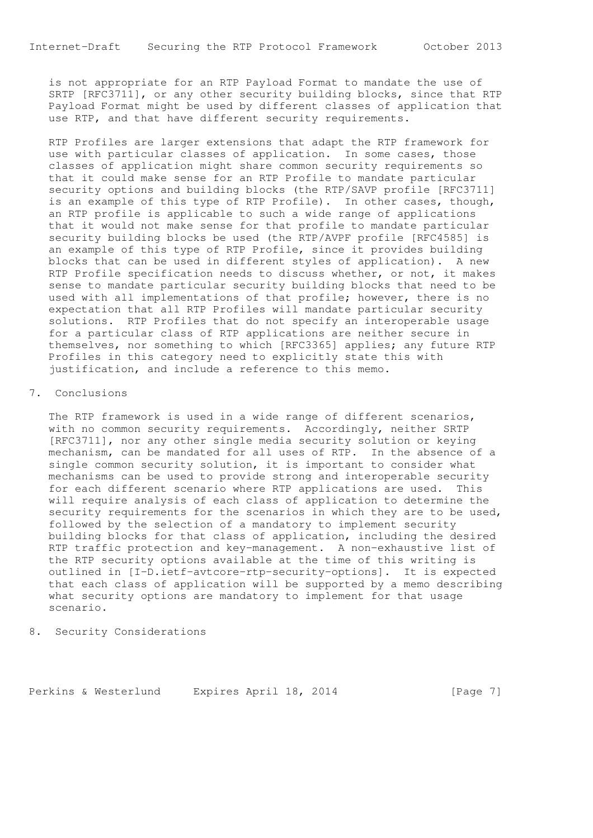is not appropriate for an RTP Payload Format to mandate the use of SRTP [RFC3711], or any other security building blocks, since that RTP Payload Format might be used by different classes of application that use RTP, and that have different security requirements.

 RTP Profiles are larger extensions that adapt the RTP framework for use with particular classes of application. In some cases, those classes of application might share common security requirements so that it could make sense for an RTP Profile to mandate particular security options and building blocks (the RTP/SAVP profile [RFC3711] is an example of this type of RTP Profile). In other cases, though, an RTP profile is applicable to such a wide range of applications that it would not make sense for that profile to mandate particular security building blocks be used (the RTP/AVPF profile [RFC4585] is an example of this type of RTP Profile, since it provides building blocks that can be used in different styles of application). A new RTP Profile specification needs to discuss whether, or not, it makes sense to mandate particular security building blocks that need to be used with all implementations of that profile; however, there is no expectation that all RTP Profiles will mandate particular security solutions. RTP Profiles that do not specify an interoperable usage for a particular class of RTP applications are neither secure in themselves, nor something to which [RFC3365] applies; any future RTP Profiles in this category need to explicitly state this with justification, and include a reference to this memo.

### 7. Conclusions

 The RTP framework is used in a wide range of different scenarios, with no common security requirements. Accordingly, neither SRTP [RFC3711], nor any other single media security solution or keying mechanism, can be mandated for all uses of RTP. In the absence of a single common security solution, it is important to consider what mechanisms can be used to provide strong and interoperable security for each different scenario where RTP applications are used. This will require analysis of each class of application to determine the security requirements for the scenarios in which they are to be used, followed by the selection of a mandatory to implement security building blocks for that class of application, including the desired RTP traffic protection and key-management. A non-exhaustive list of the RTP security options available at the time of this writing is outlined in [I-D.ietf-avtcore-rtp-security-options]. It is expected that each class of application will be supported by a memo describing what security options are mandatory to implement for that usage scenario.

8. Security Considerations

Perkins & Westerlund Expires April 18, 2014 [Page 7]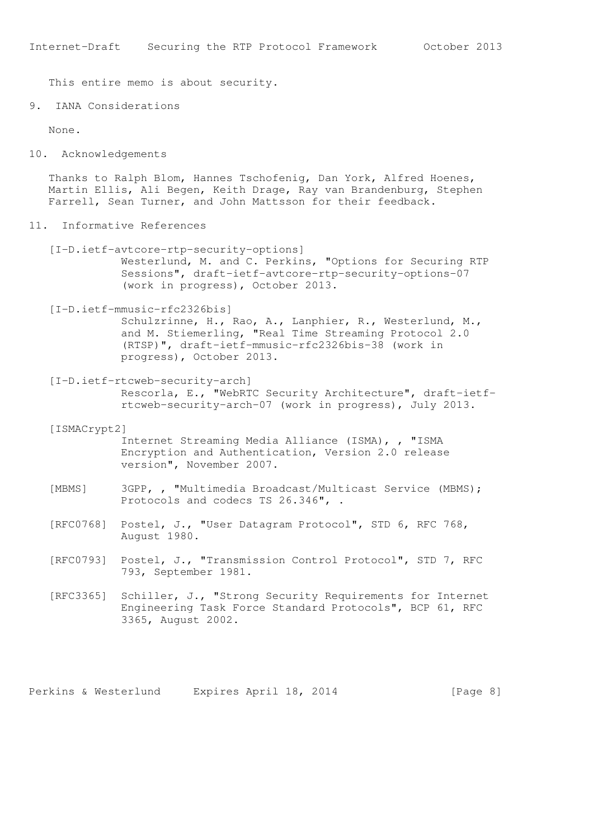This entire memo is about security.

9. IANA Considerations

None.

10. Acknowledgements

 Thanks to Ralph Blom, Hannes Tschofenig, Dan York, Alfred Hoenes, Martin Ellis, Ali Begen, Keith Drage, Ray van Brandenburg, Stephen Farrell, Sean Turner, and John Mattsson for their feedback.

- 11. Informative References
	- [I-D.ietf-avtcore-rtp-security-options] Westerlund, M. and C. Perkins, "Options for Securing RTP Sessions", draft-ietf-avtcore-rtp-security-options-07 (work in progress), October 2013.
	- [I-D.ietf-mmusic-rfc2326bis] Schulzrinne, H., Rao, A., Lanphier, R., Westerlund, M., and M. Stiemerling, "Real Time Streaming Protocol 2.0 (RTSP)", draft-ietf-mmusic-rfc2326bis-38 (work in progress), October 2013.
	- [I-D.ietf-rtcweb-security-arch] Rescorla, E., "WebRTC Security Architecture", draft-ietf rtcweb-security-arch-07 (work in progress), July 2013.
	- [ISMACrypt2]

 Internet Streaming Media Alliance (ISMA), , "ISMA Encryption and Authentication, Version 2.0 release version", November 2007.

- [MBMS] 3GPP, , "Multimedia Broadcast/Multicast Service (MBMS); Protocols and codecs TS 26.346", .
- [RFC0768] Postel, J., "User Datagram Protocol", STD 6, RFC 768, August 1980.
- [RFC0793] Postel, J., "Transmission Control Protocol", STD 7, RFC 793, September 1981.
- [RFC3365] Schiller, J., "Strong Security Requirements for Internet Engineering Task Force Standard Protocols", BCP 61, RFC 3365, August 2002.

Perkins & Westerlund Expires April 18, 2014 [Page 8]